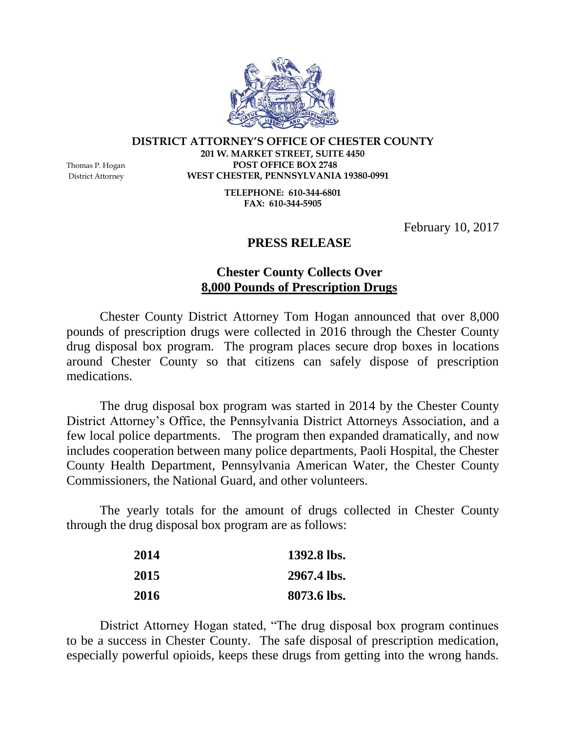

## **DISTRICT ATTORNEY'S OFFICE OF CHESTER COUNTY**

**201 W. MARKET STREET, SUITE 4450** Thomas P. Hogan **POST OFFICE BOX 2748** District Attorney **WEST CHESTER, PENNSYLVANIA 19380-0991**

> **TELEPHONE: 610-344-6801 FAX: 610-344-5905**

> > February 10, 2017

## **PRESS RELEASE**

## **Chester County Collects Over 8,000 Pounds of Prescription Drugs**

Chester County District Attorney Tom Hogan announced that over 8,000 pounds of prescription drugs were collected in 2016 through the Chester County drug disposal box program. The program places secure drop boxes in locations around Chester County so that citizens can safely dispose of prescription medications.

The drug disposal box program was started in 2014 by the Chester County District Attorney's Office, the Pennsylvania District Attorneys Association, and a few local police departments. The program then expanded dramatically, and now includes cooperation between many police departments, Paoli Hospital, the Chester County Health Department, Pennsylvania American Water, the Chester County Commissioners, the National Guard, and other volunteers.

The yearly totals for the amount of drugs collected in Chester County through the drug disposal box program are as follows:

| 2014 | 1392.8 lbs. |
|------|-------------|
| 2015 | 2967.4 lbs. |
| 2016 | 8073.6 lbs. |

District Attorney Hogan stated, "The drug disposal box program continues to be a success in Chester County. The safe disposal of prescription medication, especially powerful opioids, keeps these drugs from getting into the wrong hands.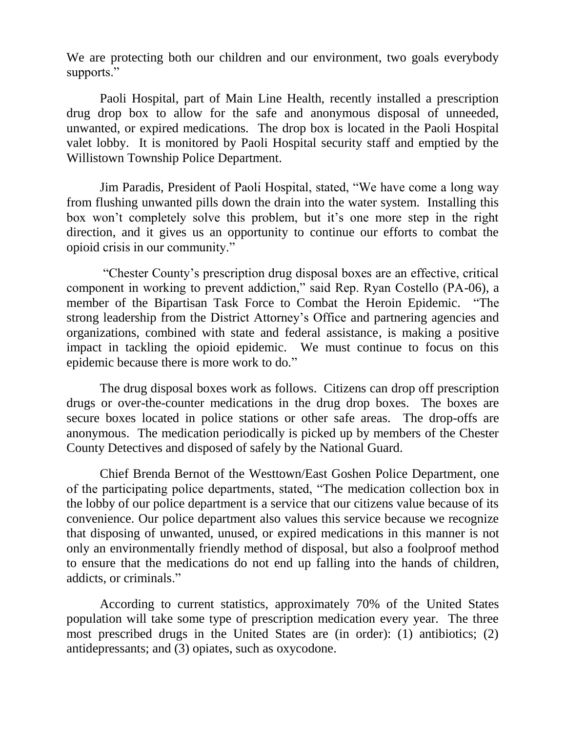We are protecting both our children and our environment, two goals everybody supports."

Paoli Hospital, part of Main Line Health, recently installed a prescription drug drop box to allow for the safe and anonymous disposal of unneeded, unwanted, or expired medications. The drop box is located in the Paoli Hospital valet lobby. It is monitored by Paoli Hospital security staff and emptied by the Willistown Township Police Department.

Jim Paradis, President of Paoli Hospital, stated, "We have come a long way from flushing unwanted pills down the drain into the water system. Installing this box won't completely solve this problem, but it's one more step in the right direction, and it gives us an opportunity to continue our efforts to combat the opioid crisis in our community."

"Chester County's prescription drug disposal boxes are an effective, critical component in working to prevent addiction," said Rep. Ryan Costello (PA-06), a member of the Bipartisan Task Force to Combat the Heroin Epidemic. "The strong leadership from the District Attorney's Office and partnering agencies and organizations, combined with state and federal assistance, is making a positive impact in tackling the opioid epidemic. We must continue to focus on this epidemic because there is more work to do."

The drug disposal boxes work as follows. Citizens can drop off prescription drugs or over-the-counter medications in the drug drop boxes. The boxes are secure boxes located in police stations or other safe areas. The drop-offs are anonymous. The medication periodically is picked up by members of the Chester County Detectives and disposed of safely by the National Guard.

Chief Brenda Bernot of the Westtown/East Goshen Police Department, one of the participating police departments, stated, "The medication collection box in the lobby of our police department is a service that our citizens value because of its convenience. Our police department also values this service because we recognize that disposing of unwanted, unused, or expired medications in this manner is not only an environmentally friendly method of disposal, but also a foolproof method to ensure that the medications do not end up falling into the hands of children, addicts, or criminals."

According to current statistics, approximately 70% of the United States population will take some type of prescription medication every year. The three most prescribed drugs in the United States are (in order): (1) antibiotics; (2) antidepressants; and (3) opiates, such as oxycodone.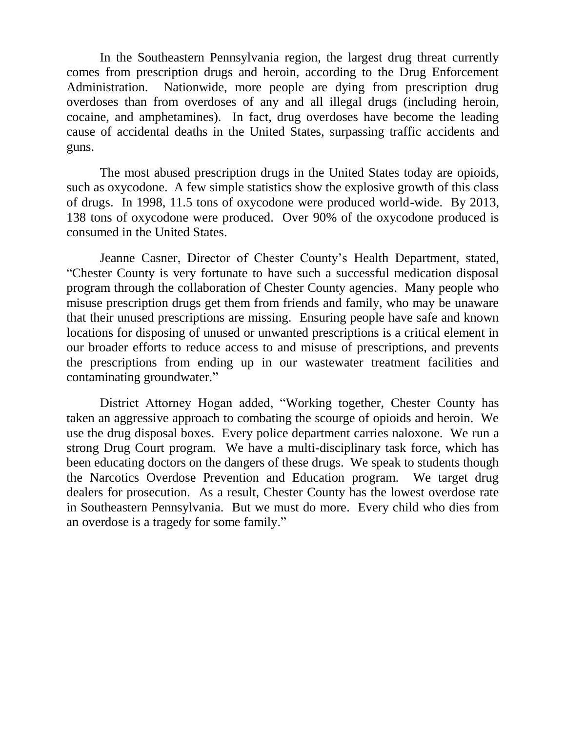In the Southeastern Pennsylvania region, the largest drug threat currently comes from prescription drugs and heroin, according to the Drug Enforcement Administration. Nationwide, more people are dying from prescription drug overdoses than from overdoses of any and all illegal drugs (including heroin, cocaine, and amphetamines). In fact, drug overdoses have become the leading cause of accidental deaths in the United States, surpassing traffic accidents and guns.

The most abused prescription drugs in the United States today are opioids, such as oxycodone. A few simple statistics show the explosive growth of this class of drugs. In 1998, 11.5 tons of oxycodone were produced world-wide. By 2013, 138 tons of oxycodone were produced. Over 90% of the oxycodone produced is consumed in the United States.

Jeanne Casner, Director of Chester County's Health Department, stated, "Chester County is very fortunate to have such a successful medication disposal program through the collaboration of Chester County agencies. Many people who misuse prescription drugs get them from friends and family, who may be unaware that their unused prescriptions are missing. Ensuring people have safe and known locations for disposing of unused or unwanted prescriptions is a critical element in our broader efforts to reduce access to and misuse of prescriptions, and prevents the prescriptions from ending up in our wastewater treatment facilities and contaminating groundwater."

District Attorney Hogan added, "Working together, Chester County has taken an aggressive approach to combating the scourge of opioids and heroin. We use the drug disposal boxes. Every police department carries naloxone. We run a strong Drug Court program. We have a multi-disciplinary task force, which has been educating doctors on the dangers of these drugs. We speak to students though the Narcotics Overdose Prevention and Education program. We target drug dealers for prosecution. As a result, Chester County has the lowest overdose rate in Southeastern Pennsylvania. But we must do more. Every child who dies from an overdose is a tragedy for some family."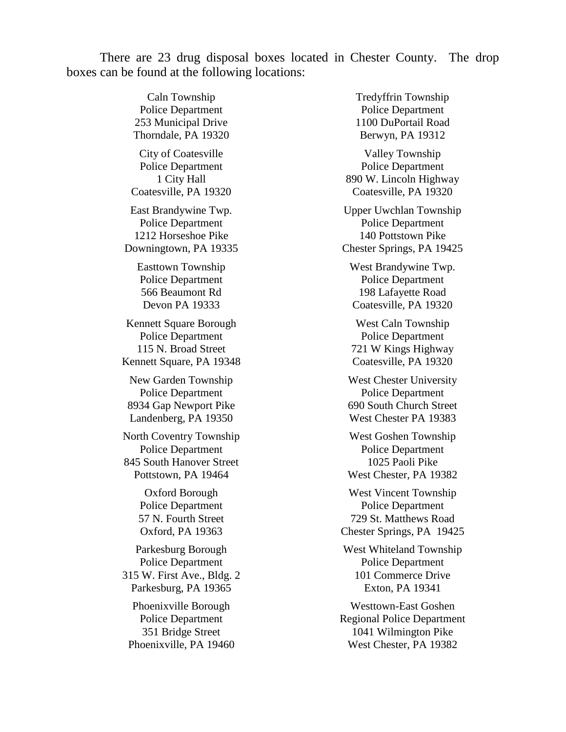There are 23 drug disposal boxes located in Chester County. The drop boxes can be found at the following locations:

> Caln Township Police Department 253 Municipal Drive Thorndale, PA 19320 City of Coatesville Police Department 1 City Hall Coatesville, PA 19320 East Brandywine Twp. Police Department 1212 Horseshoe Pike Downingtown, PA 19335 Easttown Township Police Department 566 Beaumont Rd Devon PA 19333 Kennett Square Borough Police Department 115 N. Broad Street Kennett Square, PA 19348 New Garden Township Police Department 8934 Gap Newport Pike Landenberg, PA 19350 North Coventry Township Police Department 845 South Hanover Street Pottstown, PA 19464 Oxford Borough Police Department

57 N. Fourth Street Oxford, PA 19363

Parkesburg Borough Police Department 315 W. First Ave., Bldg. 2 Parkesburg, PA 19365

Phoenixville Borough Police Department 351 Bridge Street Phoenixville, PA 19460 Tredyffrin Township Police Department 1100 DuPortail Road Berwyn, PA 19312

Valley Township Police Department 890 W. Lincoln Highway Coatesville, PA 19320

Upper Uwchlan Township Police Department 140 Pottstown Pike Chester Springs, PA 19425

West Brandywine Twp. Police Department 198 Lafayette Road Coatesville, PA 19320

West Caln Township Police Department 721 W Kings Highway Coatesville, PA 19320

West Chester University Police Department 690 South Church Street West Chester PA 19383

West Goshen Township Police Department 1025 Paoli Pike West Chester, PA 19382

West Vincent Township Police Department 729 St. Matthews Road Chester Springs, PA 19425

West Whiteland Township Police Department 101 Commerce Drive Exton, PA 19341

Westtown-East Goshen Regional Police Department 1041 Wilmington Pike West Chester, PA 19382